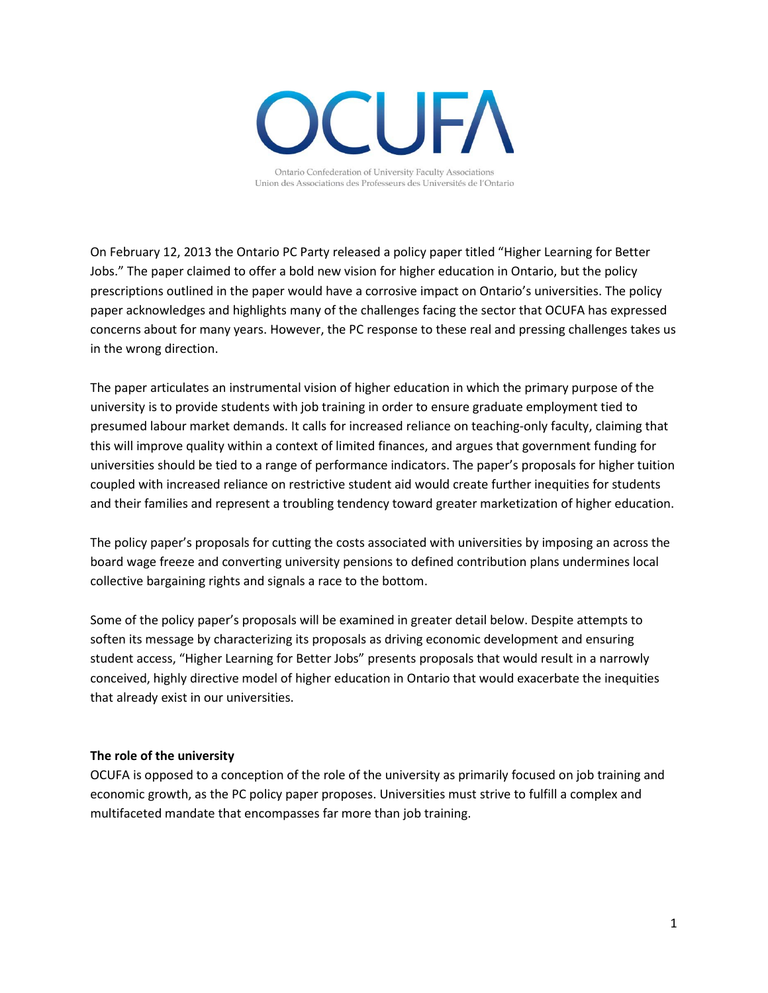

On February 12, 2013 the Ontario PC Party released a policy paper titled "Higher Learning for Better Jobs." The paper claimed to offer a bold new vision for higher education in Ontario, but the policy prescriptions outlined in the paper would have a corrosive impact on Ontario's universities. The policy paper acknowledges and highlights many of the challenges facing the sector that OCUFA has expressed concerns about for many years. However, the PC response to these real and pressing challenges takes us in the wrong direction.

The paper articulates an instrumental vision of higher education in which the primary purpose of the university is to provide students with job training in order to ensure graduate employment tied to presumed labour market demands. It calls for increased reliance on teaching-only faculty, claiming that this will improve quality within a context of limited finances, and argues that government funding for universities should be tied to a range of performance indicators. The paper's proposals for higher tuition coupled with increased reliance on restrictive student aid would create further inequities for students and their families and represent a troubling tendency toward greater marketization of higher education.

The policy paper's proposals for cutting the costs associated with universities by imposing an across the board wage freeze and converting university pensions to defined contribution plans undermines local collective bargaining rights and signals a race to the bottom.

Some of the policy paper's proposals will be examined in greater detail below. Despite attempts to soften its message by characterizing its proposals as driving economic development and ensuring student access, "Higher Learning for Better Jobs" presents proposals that would result in a narrowly conceived, highly directive model of higher education in Ontario that would exacerbate the inequities that already exist in our universities.

### **The role of the university**

OCUFA is opposed to a conception of the role of the university as primarily focused on job training and economic growth, as the PC policy paper proposes. Universities must strive to fulfill a complex and multifaceted mandate that encompasses far more than job training.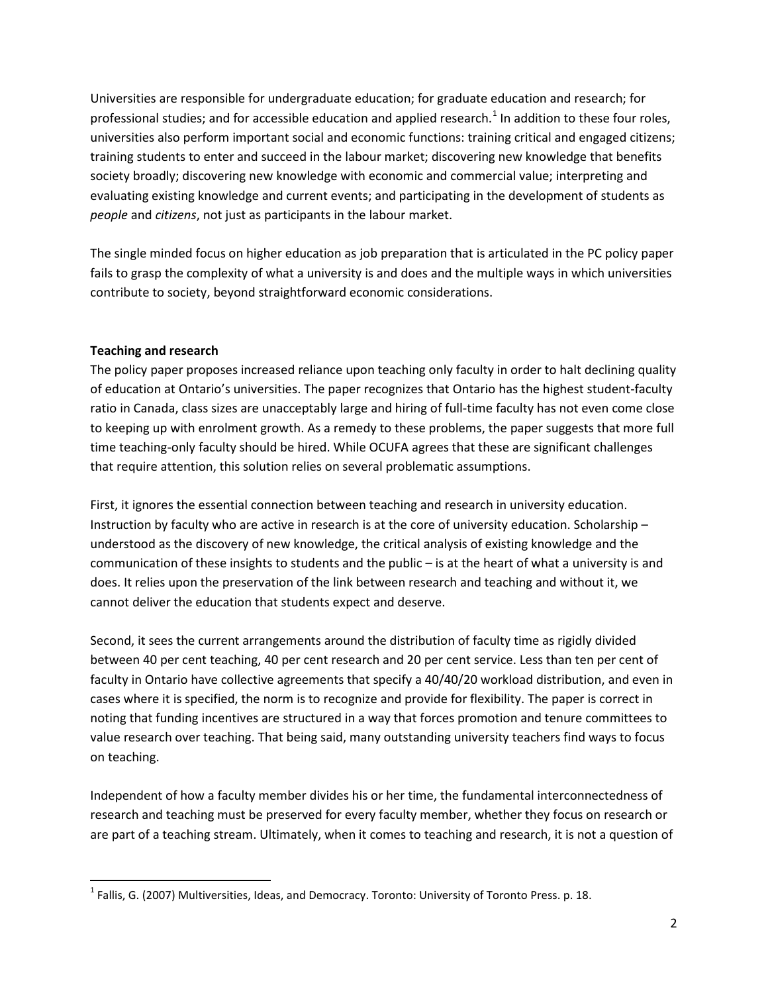Universities are responsible for undergraduate education; for graduate education and research; for professional studies; and for accessible education and applied research.<sup>[1](#page-1-0)</sup> In addition to these four roles, universities also perform important social and economic functions: training critical and engaged citizens; training students to enter and succeed in the labour market; discovering new knowledge that benefits society broadly; discovering new knowledge with economic and commercial value; interpreting and evaluating existing knowledge and current events; and participating in the development of students as *people* and *citizens*, not just as participants in the labour market.

The single minded focus on higher education as job preparation that is articulated in the PC policy paper fails to grasp the complexity of what a university is and does and the multiple ways in which universities contribute to society, beyond straightforward economic considerations.

# **Teaching and research**

The policy paper proposes increased reliance upon teaching only faculty in order to halt declining quality of education at Ontario's universities. The paper recognizes that Ontario has the highest student-faculty ratio in Canada, class sizes are unacceptably large and hiring of full-time faculty has not even come close to keeping up with enrolment growth. As a remedy to these problems, the paper suggests that more full time teaching-only faculty should be hired. While OCUFA agrees that these are significant challenges that require attention, this solution relies on several problematic assumptions.

First, it ignores the essential connection between teaching and research in university education. Instruction by faculty who are active in research is at the core of university education. Scholarship – understood as the discovery of new knowledge, the critical analysis of existing knowledge and the communication of these insights to students and the public – is at the heart of what a university is and does. It relies upon the preservation of the link between research and teaching and without it, we cannot deliver the education that students expect and deserve.

Second, it sees the current arrangements around the distribution of faculty time as rigidly divided between 40 per cent teaching, 40 per cent research and 20 per cent service. Less than ten per cent of faculty in Ontario have collective agreements that specify a 40/40/20 workload distribution, and even in cases where it is specified, the norm is to recognize and provide for flexibility. The paper is correct in noting that funding incentives are structured in a way that forces promotion and tenure committees to value research over teaching. That being said, many outstanding university teachers find ways to focus on teaching.

Independent of how a faculty member divides his or her time, the fundamental interconnectedness of research and teaching must be preserved for every faculty member, whether they focus on research or are part of a teaching stream. Ultimately, when it comes to teaching and research, it is not a question of

<span id="page-1-0"></span><sup>&</sup>lt;sup>1</sup> Fallis, G. (2007) Multiversities, Ideas, and Democracy. Toronto: University of Toronto Press. p. 18.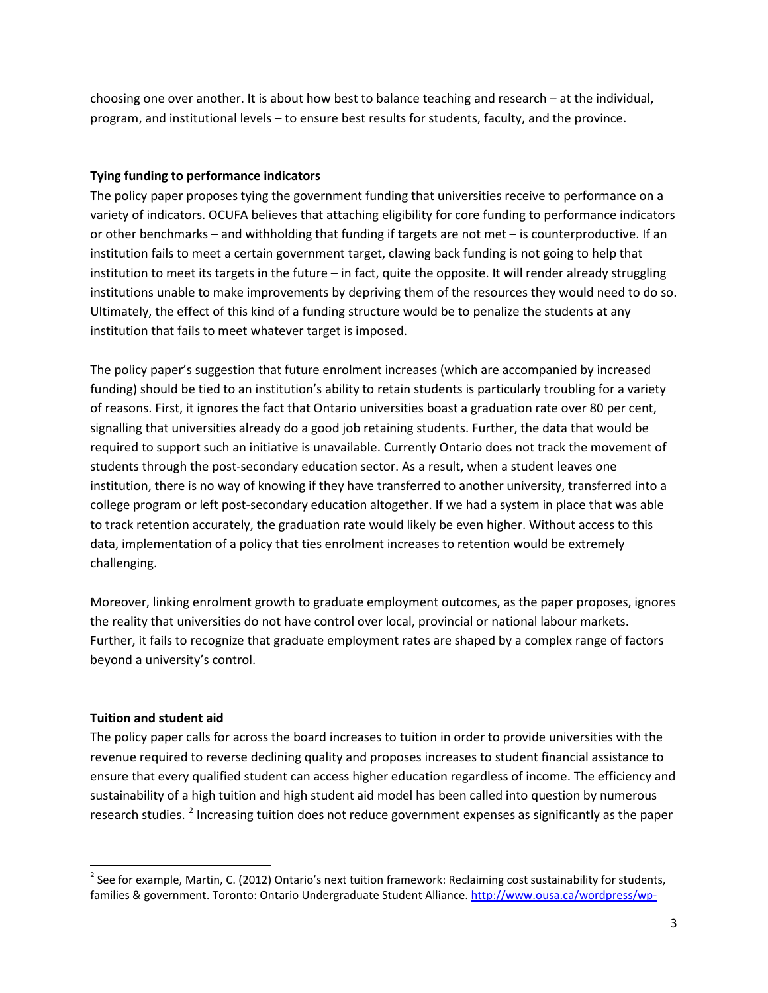choosing one over another. It is about how best to balance teaching and research – at the individual, program, and institutional levels – to ensure best results for students, faculty, and the province.

# **Tying funding to performance indicators**

The policy paper proposes tying the government funding that universities receive to performance on a variety of indicators. OCUFA believes that attaching eligibility for core funding to performance indicators or other benchmarks – and withholding that funding if targets are not met – is counterproductive. If an institution fails to meet a certain government target, clawing back funding is not going to help that institution to meet its targets in the future – in fact, quite the opposite. It will render already struggling institutions unable to make improvements by depriving them of the resources they would need to do so. Ultimately, the effect of this kind of a funding structure would be to penalize the students at any institution that fails to meet whatever target is imposed.

The policy paper's suggestion that future enrolment increases (which are accompanied by increased funding) should be tied to an institution's ability to retain students is particularly troubling for a variety of reasons. First, it ignores the fact that Ontario universities boast a graduation rate over 80 per cent, signalling that universities already do a good job retaining students. Further, the data that would be required to support such an initiative is unavailable. Currently Ontario does not track the movement of students through the post-secondary education sector. As a result, when a student leaves one institution, there is no way of knowing if they have transferred to another university, transferred into a college program or left post-secondary education altogether. If we had a system in place that was able to track retention accurately, the graduation rate would likely be even higher. Without access to this data, implementation of a policy that ties enrolment increases to retention would be extremely challenging.

Moreover, linking enrolment growth to graduate employment outcomes, as the paper proposes, ignores the reality that universities do not have control over local, provincial or national labour markets. Further, it fails to recognize that graduate employment rates are shaped by a complex range of factors beyond a university's control.

### **Tuition and student aid**

The policy paper calls for across the board increases to tuition in order to provide universities with the revenue required to reverse declining quality and proposes increases to student financial assistance to ensure that every qualified student can access higher education regardless of income. The efficiency and sustainability of a high tuition and high student aid model has been called into question by numerous research studies. <sup>[2](#page-2-0)</sup> Increasing tuition does not reduce government expenses as significantly as the paper

<span id="page-2-0"></span> $2$  See for example, Martin, C. (2012) Ontario's next tuition framework: Reclaiming cost sustainability for students, families & government. Toronto: Ontario Undergraduate Student Alliance. [http://www.ousa.ca/wordpress/wp-](http://www.ousa.ca/wordpress/wp-content/uploads/2012/10/Ontarios-Next-Tuition-Framework-FINAL.pdf)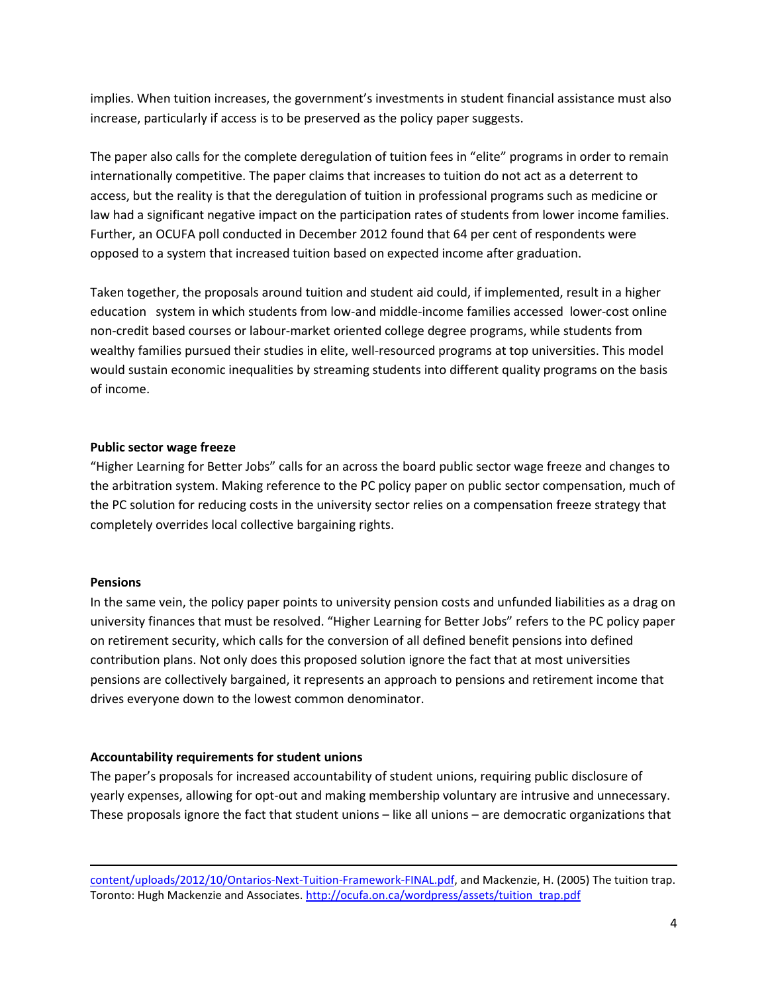implies. When tuition increases, the government's investments in student financial assistance must also increase, particularly if access is to be preserved as the policy paper suggests.

The paper also calls for the complete deregulation of tuition fees in "elite" programs in order to remain internationally competitive. The paper claims that increases to tuition do not act as a deterrent to access, but the reality is that the deregulation of tuition in professional programs such as medicine or law had a significant negative impact on the participation rates of students from lower income families. Further, an OCUFA poll conducted in December 2012 found that 64 per cent of respondents were opposed to a system that increased tuition based on expected income after graduation.

Taken together, the proposals around tuition and student aid could, if implemented, result in a higher education system in which students from low-and middle-income families accessed lower-cost online non-credit based courses or labour-market oriented college degree programs, while students from wealthy families pursued their studies in elite, well-resourced programs at top universities. This model would sustain economic inequalities by streaming students into different quality programs on the basis of income.

### **Public sector wage freeze**

"Higher Learning for Better Jobs" calls for an across the board public sector wage freeze and changes to the arbitration system. Making reference to the PC policy paper on public sector compensation, much of the PC solution for reducing costs in the university sector relies on a compensation freeze strategy that completely overrides local collective bargaining rights.

### **Pensions**

 $\overline{\phantom{0}}$ 

In the same vein, the policy paper points to university pension costs and unfunded liabilities as a drag on university finances that must be resolved. "Higher Learning for Better Jobs" refers to the PC policy paper on retirement security, which calls for the conversion of all defined benefit pensions into defined contribution plans. Not only does this proposed solution ignore the fact that at most universities pensions are collectively bargained, it represents an approach to pensions and retirement income that drives everyone down to the lowest common denominator.

# **Accountability requirements for student unions**

The paper's proposals for increased accountability of student unions, requiring public disclosure of yearly expenses, allowing for opt-out and making membership voluntary are intrusive and unnecessary. These proposals ignore the fact that student unions – like all unions – are democratic organizations that

content/uploads/2012/10/Ontarios-Next-Tuition-Framework-FINAL.pdf, and Mackenzie, H. (2005) The tuition trap. Toronto: Hugh Mackenzie and Associates. [http://ocufa.on.ca/wordpress/assets/tuition\\_trap.pdf](http://ocufa.on.ca/wordpress/assets/tuition_trap.pdf)